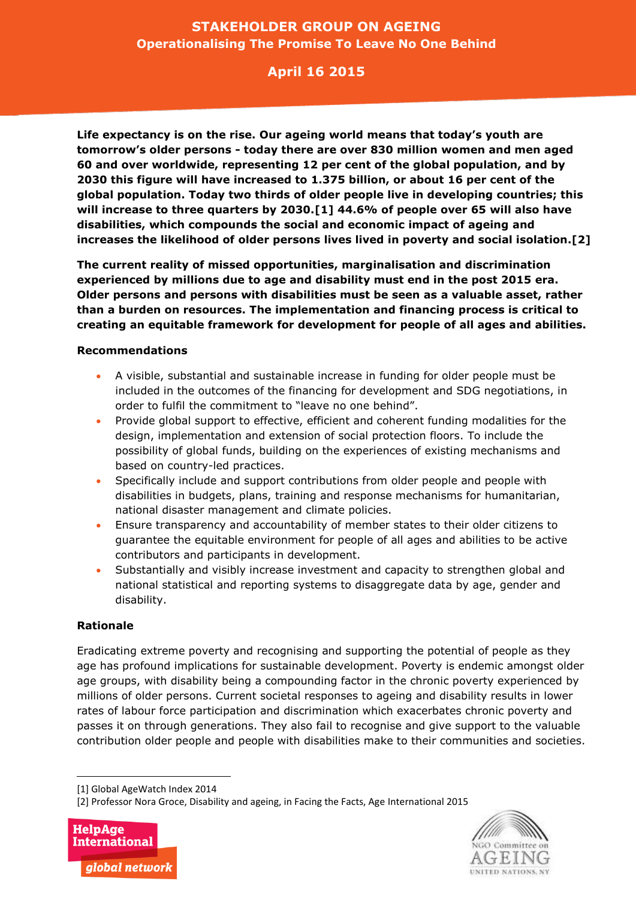## **STAKEHOLDER GROUP ON AGEING Operationalising The Promise To Leave No One Behind**

## **April 16 2015**

**Life expectancy is on the rise. Our ageing world means that today's youth are tomorrow's older persons - today there are over 830 million women and men aged 60 and over worldwide, representing 12 per cent of the global population, and by 2030 this figure will have increased to 1.375 billion, or about 16 per cent of the global population. Today two thirds of older people live in developing countries; this will increase to three quarters by 2030.[1] 44.6% of people over 65 will also have disabilities, which compounds the social and economic impact of ageing and increases the likelihood of older persons lives lived in poverty and social isolation.[2]**

**The current reality of missed opportunities, marginalisation and discrimination experienced by millions due to age and disability must end in the post 2015 era. Older persons and persons with disabilities must be seen as a valuable asset, rather than a burden on resources. The implementation and financing process is critical to creating an equitable framework for development for people of all ages and abilities.** 

## **Recommendations**

- A visible, substantial and sustainable increase in funding for older people must be included in the outcomes of the financing for development and SDG negotiations, in order to fulfil the commitment to "leave no one behind".
- Provide global support to effective, efficient and coherent funding modalities for the design, implementation and extension of social protection floors. To include the possibility of global funds, building on the experiences of existing mechanisms and based on country-led practices.
- Specifically include and support contributions from older people and people with disabilities in budgets, plans, training and response mechanisms for humanitarian, national disaster management and climate policies.
- Ensure transparency and accountability of member states to their older citizens to guarantee the equitable environment for people of all ages and abilities to be active contributors and participants in development.
- Substantially and visibly increase investment and capacity to strengthen global and national statistical and reporting systems to disaggregate data by age, gender and disability.

## **Rationale**

 $\overline{a}$ 

Eradicating extreme poverty and recognising and supporting the potential of people as they age has profound implications for sustainable development. Poverty is endemic amongst older age groups, with disability being a compounding factor in the chronic poverty experienced by millions of older persons. Current societal responses to ageing and disability results in lower rates of labour force participation and discrimination which exacerbates chronic poverty and passes it on through generations. They also fail to recognise and give support to the valuable contribution older people and people with disabilities make to their communities and societies.

<sup>[2]</sup> Professor Nora Groce, Disability and ageing, in Facing the Facts, Age International 2015





<sup>[1]</sup> Global AgeWatch Index 2014